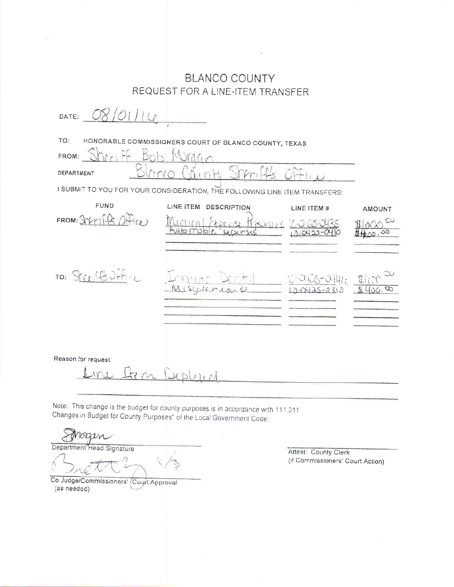|                     | <b>BLANCO COUNTY</b>                                                       |                                |         |
|---------------------|----------------------------------------------------------------------------|--------------------------------|---------|
|                     | REQUEST FOR A LINE-ITEM TRANSFER                                           |                                |         |
| DATE:               |                                                                            |                                |         |
| TO:                 | HONORABLE COMMISSIONERS COURT OF BLANCO COUNTY, TEXAS                      |                                |         |
| FROM:               | Murano                                                                     |                                |         |
| DEPARTMENT          |                                                                            |                                |         |
|                     | I SUBMIT TO YOU FOR YOUR CONSIDERATION, THE FOLLOWING LINE ITEM TRANSFERS: |                                |         |
| <b>FUND</b>         | LINE ITEM<br><b>DESCRIPTION</b>                                            | LINE ITEM #                    | AMOUNT  |
| FROM: 3Vri14<br>(2) | Fisoring<br>Nutomobl                                                       |                                | $\circ$ |
|                     |                                                                            |                                |         |
|                     |                                                                            |                                |         |
| TO: Sterite Orfice  |                                                                            | Outle-04412<br>$120425 - 0310$ |         |
|                     |                                                                            |                                |         |
|                     |                                                                            |                                |         |
|                     |                                                                            |                                |         |

 $\mathbf{r}$ 

Reason for request:

Fin Depleint  $iril$ 

Note: This change is the budget for county purposes is in accordance with 111.011 Changes in Budget for County Purposes" of the Local Government Code.

 $\overline{r}$ noam Department Head Signature

Co Judge/Commissioners' Court Approval (as needed)

Attest: County Clerk (if Commissioners' Court Action)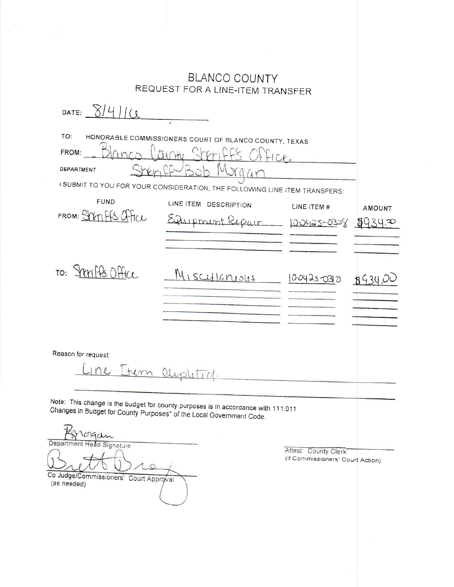|                                                                                                                                                                                   | <b>BLANCO COUNTY</b><br>REQUEST FOR A LINE-ITEM TRANSFER                                        |                                                          |         |
|-----------------------------------------------------------------------------------------------------------------------------------------------------------------------------------|-------------------------------------------------------------------------------------------------|----------------------------------------------------------|---------|
| DATE: $8/4/10$                                                                                                                                                                    |                                                                                                 |                                                          |         |
| TO:<br>m<br>FROM:<br>DEPARTMENT                                                                                                                                                   | HONORABLE COMMISSIONERS COURT OF BLANCO COUNTY, TEXAS                                           |                                                          |         |
|                                                                                                                                                                                   | I SUBMIT TO YOU FOR YOUR CONSIDERATION, THE FOLLOWING LINE ITEM TRANSFERS:                      |                                                          |         |
| <b>FUND</b>                                                                                                                                                                       | LINE ITEM DESCRIPTION                                                                           | LINE ITEM #                                              | AMOUNT  |
| FROM: SYXMFFS Office                                                                                                                                                              | Einerment Repair                                                                                | 100425-0308                                              | ုပ္မွ ဆ |
|                                                                                                                                                                                   |                                                                                                 |                                                          |         |
| TO: STEMPS Office                                                                                                                                                                 | <u>Miscullaneous</u>                                                                            | 1004250310                                               | 630     |
| Reason for request:<br>Changes in Budget for County Purposes" of the Local Government Code.<br>Department Head Signature<br>Co Judge/Commissioners' Court Approval<br>(as needed) | austitich.<br>Note: This change is the budget for county purposes is in accordance with 111.011 | Attest: County Clerk<br>(if Commissioners' Court Action) |         |
|                                                                                                                                                                                   |                                                                                                 |                                                          |         |

 $\begin{array}{ccc} \omega & \pm \omega \\ \end{array}$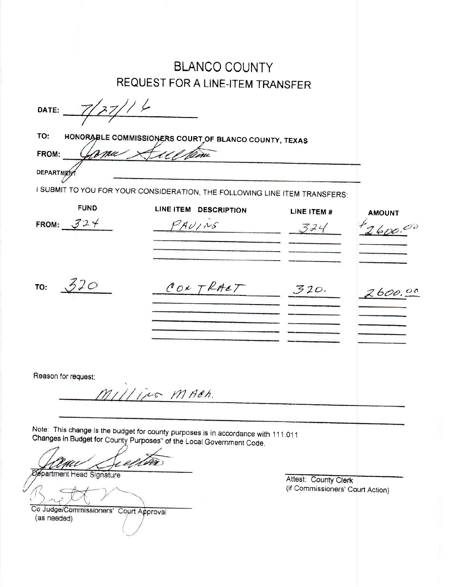|                                                       | <b>BLANCO COUNTY</b>                                                              |                                                          |               |
|-------------------------------------------------------|-----------------------------------------------------------------------------------|----------------------------------------------------------|---------------|
|                                                       | <b>REQUEST FOR A LINE-ITEM TRANSFER</b>                                           |                                                          |               |
| DATE:                                                 | 1/6                                                                               |                                                          |               |
| TO:                                                   | HONORABLE COMMISSIONERS COURT OF BLANCO COUNTY, TEXAS                             |                                                          |               |
| FROM:                                                 |                                                                                   |                                                          |               |
|                                                       |                                                                                   |                                                          |               |
| <b>DEPARTME</b>                                       |                                                                                   |                                                          |               |
|                                                       | I SUBMIT TO YOU FOR YOUR CONSIDERATION, THE FOLLOWING LINE ITEM TRANSFERS:        |                                                          |               |
| <b>FUND</b>                                           | LINE ITEM DESCRIPTION                                                             | LINE ITEM #                                              | <b>AMOUNT</b> |
| FROM: $324$                                           | PAU/NS                                                                            | 324                                                      | 2600.00       |
|                                                       |                                                                                   |                                                          |               |
|                                                       |                                                                                   |                                                          |               |
|                                                       |                                                                                   |                                                          |               |
| 520                                                   |                                                                                   |                                                          |               |
| TO:                                                   | CONTRACT                                                                          | 320.                                                     | 2600.00       |
|                                                       |                                                                                   |                                                          |               |
|                                                       |                                                                                   |                                                          |               |
|                                                       |                                                                                   |                                                          |               |
|                                                       |                                                                                   |                                                          |               |
|                                                       |                                                                                   |                                                          |               |
| Reason for request:                                   |                                                                                   |                                                          |               |
|                                                       | Milling MACH.                                                                     |                                                          |               |
|                                                       |                                                                                   |                                                          |               |
|                                                       |                                                                                   |                                                          |               |
|                                                       | Note: This change is the budget for county purposes is in accordance with 111.011 |                                                          |               |
|                                                       | Changes in Budget for County Purposes" of the Local Government Code.              |                                                          |               |
|                                                       |                                                                                   |                                                          |               |
| <b>Øspartment Head Signature</b>                      |                                                                                   |                                                          |               |
|                                                       |                                                                                   | Attest: County Clerk<br>(if Commissioners' Court Action) |               |
|                                                       |                                                                                   |                                                          |               |
| Co Judge/Commissioners' Court Approval<br>(as needed) |                                                                                   |                                                          |               |
|                                                       |                                                                                   |                                                          |               |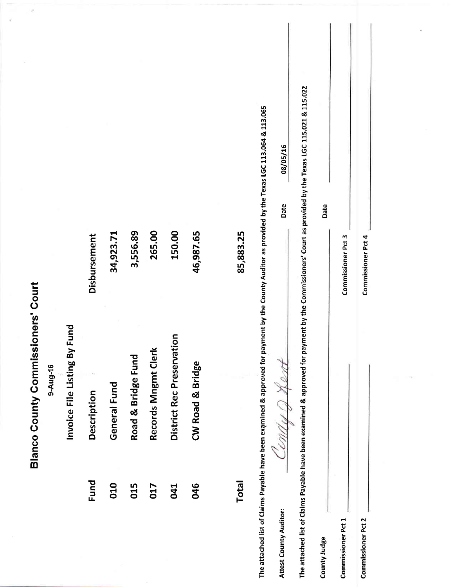|                        | <b>Blanco County Commissioners' Court</b>                                                                                                                |                    | 华                |
|------------------------|----------------------------------------------------------------------------------------------------------------------------------------------------------|--------------------|------------------|
|                        | 9-Aug-16                                                                                                                                                 |                    |                  |
|                        | bung<br>Invoice File Listing By F                                                                                                                        |                    |                  |
| Fund                   | Description                                                                                                                                              | Disbursement       |                  |
| 010                    | General Fund                                                                                                                                             | 34,923.71          |                  |
| 015                    | Road & Bridge Fund                                                                                                                                       | 3,556.89           |                  |
| 017                    | Records Mngmt Clerk                                                                                                                                      | 265.00             |                  |
| 041                    | District Rec Preservation                                                                                                                                | 150.00             |                  |
| 046                    | CW Road & Bridge                                                                                                                                         | 46,987.65          |                  |
|                        |                                                                                                                                                          |                    |                  |
| <b>Total</b>           |                                                                                                                                                          | 85,883.25          |                  |
|                        | The attached list of Claims Payable have been examined & approved for payment by the County Auditor as provided by the Texas LGC 113.064 & 113.065       |                    |                  |
| Attest County Auditor: | Cendu Q Ke                                                                                                                                               |                    | 08/05/16<br>Date |
|                        | The attached list of Claims Payable have been examined & approved for payment by the Commissioners' Court as provided by the Texas LGC 115.021 & 115.022 |                    |                  |
| County Judge           |                                                                                                                                                          |                    | Date             |
| Commissioner Pct 1     |                                                                                                                                                          | Commissioner Pct 3 |                  |
| Commissioner Pct 2     |                                                                                                                                                          | Commissioner Pct 4 |                  |
|                        |                                                                                                                                                          |                    |                  |
|                        |                                                                                                                                                          |                    |                  |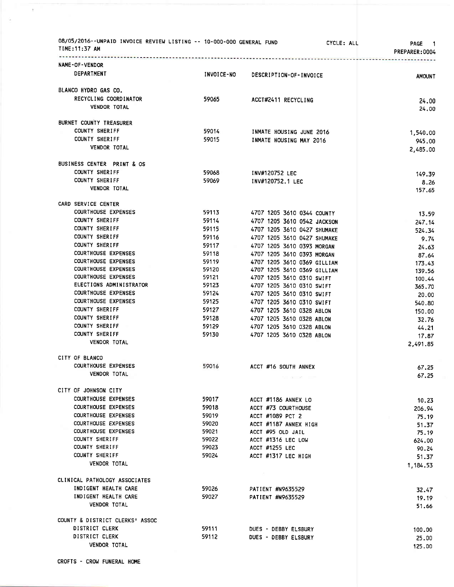| 08/05/2016--UNPAID INVOICE REVIEW LISTING -- 10-000-000 GENERAL FUND<br>TIME:11:37 AM |            | <b>CYCLE: ALL</b>           | <b>PAGE</b><br>1.<br>PREPARER:0004 |
|---------------------------------------------------------------------------------------|------------|-----------------------------|------------------------------------|
| NAME-OF-VENDOR                                                                        |            |                             |                                    |
| DEPARTMENT                                                                            | INVOICE-NO | DESCRIPTION-OF-INVOICE      | <b>AMOUNT</b>                      |
| BLANCO HYDRO GAS CO.                                                                  |            |                             |                                    |
| RECYCLING COORDINATOR                                                                 |            |                             |                                    |
| <b>VENDOR TOTAL</b>                                                                   | 59065      | ACCT#2411 RECYCLING         | 24.00<br>24,00                     |
| BURNET COUNTY TREASURER                                                               |            |                             |                                    |
| <b>COUNTY SHERIFF</b>                                                                 | 59014      | INMATE HOUSING JUNE 2016    | 1,540.00                           |
| <b>COUNTY SHERIFF</b>                                                                 | 59015      | INMATE HOUSING MAY 2016     | 945.00                             |
| VENDOR TOTAL                                                                          |            |                             | 2,485.00                           |
| BUSINESS CENTER PRINT & OS                                                            |            |                             |                                    |
| COUNTY SHERIFF                                                                        | 59068      | INV#120752 LEC              | 149.39                             |
| <b>COUNTY SHERIFF</b>                                                                 | 59069      | INV#120752.1 LEC            | 8.26                               |
| <b>VENDOR TOTAL</b>                                                                   |            |                             | 157.65                             |
| CARD SERVICE CENTER                                                                   |            |                             |                                    |
| <b>COURTHOUSE EXPENSES</b>                                                            | 59113      | 4707 1205 3610 0344 COUNTY  | 13.59                              |
| COUNTY SHERIFF                                                                        | 59114      | 4707 1205 3610 0542 JACKSON | 247.14                             |
| <b>COUNTY SHERIFF</b>                                                                 | 59115      | 4707 1205 3610 0427 SHUMAKE | 524.34                             |
| COUNTY SHERIFF                                                                        | 59116      | 4707 1205 3610 0427 SHUMAKE | 9.74                               |
| COUNTY SHERIFF                                                                        | 59117      | 4707 1205 3610 0393 MORGAN  | 24.63                              |
| <b>COURTHOUSE EXPENSES</b>                                                            | 59118      | 4707 1205 3610 0393 MORGAN  | 87.64                              |
| <b>COURTHOUSE EXPENSES</b>                                                            | 59119      | 4707 1205 3610 0369 GILLIAM | 173.43                             |
| <b>COURTHOUSE EXPENSES</b>                                                            | 59120      | 4707 1205 3610 0369 GILLIAM | 139.56                             |
| <b>COURTHOUSE EXPENSES</b>                                                            | 59121      | 4707 1205 3610 0310 SWIFT   | 100.44                             |
| ELECTIONS ADMINISTRATOR                                                               | 59123      | 4707 1205 3610 0310 SWIFT   | 365.70                             |
| <b>COURTHOUSE EXPENSES</b>                                                            | 59124      | 4707 1205 3610 0310 SWIFT   | 20.00                              |
| <b>COURTHOUSE EXPENSES</b>                                                            | 59125      | 4707 1205 3610 0310 SWIFT   | 540.80                             |
| COUNTY SHERIFF                                                                        | 59127      | 4707 1205 3610 0328 ABLON   | 150.00                             |
| COUNTY SHERIFF                                                                        | 59128      | 4707 1205 3610 0328 ABLON   | 32.76                              |
| COUNTY SHERIFF                                                                        | 59129      | 4707 1205 3610 0328 ABLON   | 44,21                              |
| COUNTY SHERIFF                                                                        | 59130      | 4707 1205 3610 0328 ABLON   | 17.87                              |
| <b>VENDOR TOTAL</b>                                                                   |            |                             | 2,491.85                           |
| CITY OF BLANCO                                                                        |            |                             |                                    |
| <b>COURTHOUSE EXPENSES</b>                                                            | 59016      | ACCT #16 SOUTH ANNEX        | 67.25                              |
| <b>VENDOR TOTAL</b>                                                                   |            | No. or other com-           | 67.25                              |
| CITY OF JOHNSON CITY                                                                  |            |                             |                                    |
| <b>COURTHOUSE EXPENSES</b>                                                            | 59017      | ACCT #1186 ANNEX LO         | 10.23                              |
| <b>COURTHOUSE EXPENSES</b>                                                            | 59018      | ACCT #73 COURTHOUSE         | 206.94                             |
| <b>COURTHOUSE EXPENSES</b>                                                            | 59019      | ACCT #1089 PCT 2            | 75.19                              |
| <b>COURTHOUSE EXPENSES</b>                                                            | 59020      | ACCT #1187 ANNEX HIGH       | 51.37                              |
| <b>COURTHOUSE EXPENSES</b>                                                            | 59021      | ACCT #95 OLD JAIL           | 75.19                              |
| COUNTY SHERIFF                                                                        | 59022      | ACCT #1316 LEC LOW          | 624.00                             |
| COUNTY SHERIFF                                                                        | 59023      | ACCT #1255 LEC              | 90.24                              |
| <b>COUNTY SHERIFF</b>                                                                 | 59024      | ACCT #1317 LEC HIGH         | 51.37                              |
| <b>VENDOR TOTAL</b>                                                                   |            |                             | 1,184.53                           |
| CLINICAL PATHOLOGY ASSOCIATES                                                         |            |                             |                                    |
| INDIGENT HEALTH CARE                                                                  | 59026      | PATIENT #N9635529           | 32.47                              |
| INDIGENT HEALTH CARE                                                                  | 59027      | PATIENT #N9635529           | 19.19                              |
| <b>VENDOR TOTAL</b>                                                                   |            |                             | 51.66                              |
| COUNTY & DISTRICT CLERKS' ASSOC                                                       |            |                             |                                    |
| DISTRICT CLERK                                                                        | 59111      | DUES - DEBBY ELSBURY        | 100.00                             |
| DISTRICT CLERK                                                                        | 59112      | DUES - DEBBY ELSBURY        | 25.00                              |
| <b>VENDOR TOTAL</b>                                                                   |            |                             | 125.00                             |

 $\bar{\pi}$ 

à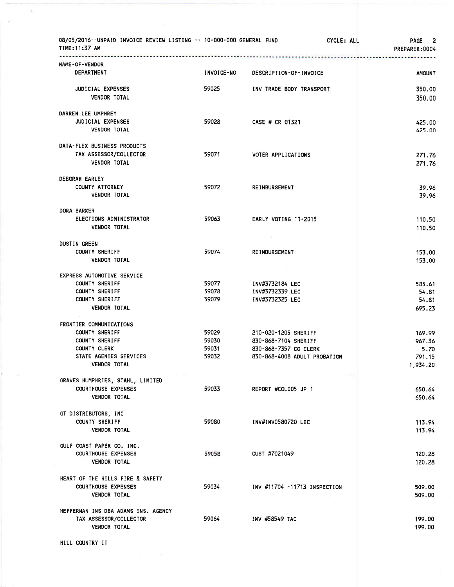| 08/05/2016--UNPAID INVOICE REVIEW LISTING -- 10-000-000 GENERAL FUND<br>TIME: 11:37 AM<br>*************************<br>--------------------- |              |                              | CYCLE: ALL<br>PAGE 2<br>PREPARER:0004 |
|----------------------------------------------------------------------------------------------------------------------------------------------|--------------|------------------------------|---------------------------------------|
| NAME-OF-VENDOR                                                                                                                               |              |                              |                                       |
| <b>DEPARTMENT</b>                                                                                                                            | INVOICE-NO = | DESCRIPTION-OF-INVOICE       | <b>AMOUNT</b>                         |
| <b>JUDICIAL EXPENSES</b>                                                                                                                     | 59025        | INV TRADE BODY TRANSPORT     | 350.00                                |
| <b>VENDOR TOTAL</b>                                                                                                                          |              |                              | 350.00                                |
| DARREN LEE UMPHREY                                                                                                                           |              |                              |                                       |
| <b>JUDICIAL EXPENSES</b>                                                                                                                     | 59028        | CASE # CR 01321              | 425,00                                |
| <b>VENDOR TOTAL</b>                                                                                                                          |              |                              | 425.00                                |
| DATA-FLEX BUSINESS PRODUCTS                                                                                                                  |              |                              |                                       |
| TAX ASSESSOR/COLLECTOR                                                                                                                       | 59071        | VOTER APPLICATIONS           | 271,76                                |
| <b>VENDOR TOTAL</b>                                                                                                                          |              |                              | 271.76                                |
| DEBORAH EARLEY                                                                                                                               |              |                              |                                       |
| <b>COUNTY ATTORNEY</b>                                                                                                                       | 59072        | <b>REIMBURSEMENT</b>         | 39.96                                 |
| <b>VENDOR TOTAL</b>                                                                                                                          |              |                              | 39.96                                 |
| DORA BARKER                                                                                                                                  |              |                              |                                       |
| ELECTIONS ADMINISTRATOR                                                                                                                      | 59063        | EARLY VOTING 11-2015         | 110.50                                |
| <b>VENDOR TOTAL</b>                                                                                                                          |              |                              | 110.50                                |
| <b>DUSTIN GREEN</b>                                                                                                                          |              |                              |                                       |
| COUNTY SHERIFF                                                                                                                               | 59074        | <b>REIMBURSEMENT</b>         | 153.00                                |
| <b>VENDOR TOTAL</b>                                                                                                                          |              |                              | 153.00                                |
| EXPRESS AUTOMOTIVE SERVICE                                                                                                                   |              |                              |                                       |
| <b>COUNTY SHERIFF</b>                                                                                                                        | 59077        | INV#3732184 LEC              | 585.61                                |
| COUNTY SHERIFF                                                                                                                               | 59078        | INV#3732339 LEC              | 54,81                                 |
| COUNTY SHERIFF<br><b>VENDOR TOTAL</b>                                                                                                        | 59079        | INV#3732325 LEC              | 54.81<br>695.23                       |
| FRONTIER COMMUNICATIONS                                                                                                                      |              |                              |                                       |
| <b>COUNTY SHERIFF</b>                                                                                                                        | 59029        | 210-020-1205 SHERIFF         | 169.99                                |
| <b>COUNTY SHERIFF</b>                                                                                                                        | 59030        | 830-868-7104 SHERIFF         | 967.36                                |
| COUNTY CLERK                                                                                                                                 | 59031        | 830-868-7357 CO CLERK        | 5.70                                  |
| STATE AGENIES SERVICES                                                                                                                       | 59032        | 830-868-4008 ADULT PROBATION | 791.15                                |
| VENDOR TOTAL                                                                                                                                 |              |                              | 1,934.20                              |
| GRAVES HUMPHRIES, STAHL, LIMITED                                                                                                             |              |                              |                                       |
| COURTHOUSE EXPENSES                                                                                                                          | 59033        | REPORT #COL005 JP 1          | 650.64                                |
| <b>VENDOR TOTAL</b>                                                                                                                          |              |                              | 650.64                                |
| GT DISTRIBUTORS, INC                                                                                                                         |              |                              |                                       |
| COUNTY SHERIFF                                                                                                                               | 59080        | INV#INV0580720 LEC           | 113.94                                |
| <b>VENDOR TOTAL</b>                                                                                                                          |              |                              | 113.94                                |
| GULF COAST PAPER CO. INC.                                                                                                                    |              |                              |                                       |
| <b>COURTHOUSE EXPENSES</b>                                                                                                                   | 59058        | CUST #7021049                | 120.28                                |
| VENDOR TOTAL                                                                                                                                 |              |                              | 120.28                                |
| HEART OF THE HILLS FIRE & SAFETY                                                                                                             |              |                              |                                       |
| <b>COURTHOUSE EXPENSES</b>                                                                                                                   | 59034        | INV #11704 -11713 INSPECTION | 509.00                                |
| <b>VENDOR TOTAL</b>                                                                                                                          |              |                              | 509.00                                |
| HEFFERNAN INS DBA ADAMS INS. AGENCY                                                                                                          |              |                              |                                       |
| TAX ASSESSOR/COLLECTOR<br><b>VENDOR TOTAL</b>                                                                                                | 59064        | INV #58549 TAC               | 199.00<br>199.00                      |
|                                                                                                                                              |              |                              |                                       |
| HILL COUNTRY IT                                                                                                                              |              |                              |                                       |
|                                                                                                                                              |              |                              |                                       |

 $\mathcal{A}$ 

 $\sim 0.0$ 

 $\mathbf{r} = -\mathbf{r}$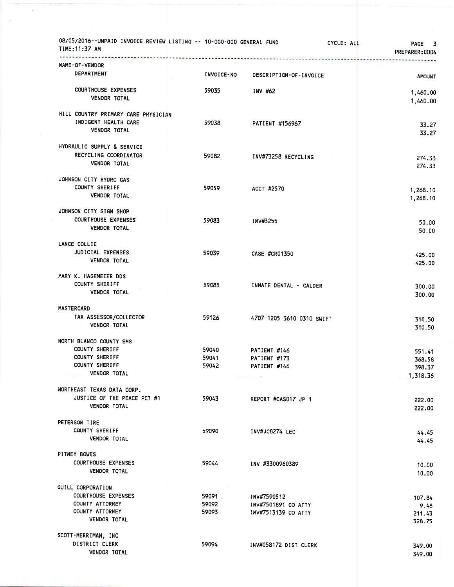| 08/05/2016--UNPAID INVOICE REVIEW LISTING -- 10-000-000 GENERAL FUND<br>TIME: 11:37 AM<br>. <b>.</b> <del>.</del> . |                   | CYCLE: ALL                   | PAGE 3<br>PREPARER:0004 |
|---------------------------------------------------------------------------------------------------------------------|-------------------|------------------------------|-------------------------|
| <b>NAME-OF-VENDOR</b>                                                                                               |                   |                              |                         |
| DEPARTMENT                                                                                                          | <b>INVOICE-NO</b> | DESCRIPTION-OF-INVOICE       | <b>AMOUNT</b>           |
| <b>COURTHOUSE EXPENSES</b><br>VENDOR TOTAL                                                                          | 59035             | INV #62                      | 1,460.00<br>1,460.00    |
| HILL COUNTRY PRIMARY CARE PHYSICIAN                                                                                 |                   |                              |                         |
| INDIGENT HEALTH CARE<br><b>VENDOR TOTAL</b>                                                                         | 59038             | PATIENT #156967              | 33.27<br>33.27          |
| HYDRAULIC SUPPLY & SERVICE                                                                                          |                   |                              |                         |
| RECYCLING COORDINATOR<br><b>VENDOR TOTAL</b>                                                                        | 59082             | INV#73258 RECYCLING          | 274.33<br>274.33        |
| JOHNSON CITY HYDRO GAS                                                                                              |                   |                              |                         |
| COUNTY SHERIFF                                                                                                      | 59059             | ACCT #2570                   | 1,268.10                |
| <b>VENDOR TOTAL</b>                                                                                                 |                   |                              | 1,268.10                |
| JOHNSON CITY SIGN SHOP                                                                                              |                   |                              |                         |
| <b>COURTHOUSE EXPENSES</b>                                                                                          | 59083             | INV#3255                     | 50.00                   |
| <b>VENDOR TOTAL</b>                                                                                                 |                   |                              | 50.00                   |
| LANCE COLLIE                                                                                                        |                   |                              |                         |
| JUDICIAL EXPENSES                                                                                                   | 59039             | <b>CASE #CR01350</b>         | 425.00                  |
| <b>VENDOR TOTAL</b>                                                                                                 |                   |                              | 425.00                  |
| MARY K. HAGEMEIER DDS                                                                                               |                   |                              |                         |
| COUNTY SHERIFF                                                                                                      | 59085             | INMATE DENTAL - CALDER       | 300,00                  |
| <b>VENDOR TOTAL</b>                                                                                                 |                   |                              | 300.00                  |
| <b>MASTERCARD</b>                                                                                                   |                   |                              |                         |
| TAX ASSESSOR/COLLECTOR                                                                                              | 59126             | 4707 1205 3610 0310 SWIFT    | 310.50                  |
| <b>VENDOR TOTAL</b>                                                                                                 |                   |                              | 310.50                  |
| NORTH BLANCO COUNTY EMS                                                                                             |                   |                              |                         |
| COUNTY SHERIFF                                                                                                      | 59040             | PATIENT #146                 | 551.41                  |
| COUNTY SHERIFF<br>COUNTY SHERIFF                                                                                    | 59041<br>59042    | PATIENT #173<br>PATIENT #146 | 368.58                  |
| <b>VENDOR TOTAL</b>                                                                                                 |                   |                              | 398.37<br>1,318.36      |
|                                                                                                                     |                   |                              |                         |
| NORTHEAST TEXAS DATA CORP.<br>JUSTICE OF THE PEACE PCT #1                                                           |                   |                              |                         |
| <b>VENDOR TOTAL</b>                                                                                                 | 59043             | REPORT #CAS017 JP 1          | 222.00<br>222.00        |
| PETERSON TIRE                                                                                                       |                   |                              |                         |
| COUNTY SHERIFF                                                                                                      | 59090             | INV#JC8274 LEC               | 44.45                   |
| <b>VENDOR TOTAL</b>                                                                                                 |                   |                              | 44.45                   |
| PITNEY BOWES                                                                                                        |                   |                              |                         |
| <b>COURTHOUSE EXPENSES</b>                                                                                          | 59044             | INV #3300960389              | 10.00                   |
| <b>VENDOR TOTAL</b>                                                                                                 |                   |                              | 10.00                   |
| QUILL CORPORATION                                                                                                   |                   |                              |                         |
| <b>COURTHOUSE EXPENSES</b>                                                                                          | 59091             | INV#7590512                  | 107.84                  |
| COUNTY ATTORNEY<br>COUNTY ATTORNEY                                                                                  | 59092<br>59093    | INV#7501891 CO ATTY          | 9.48                    |
| VENDOR TOTAL                                                                                                        |                   | INV#7513139 CO ATTY          | 211.43<br>328.75        |
| SCOTT-MERRIMAN, INC                                                                                                 |                   |                              |                         |
| DISTRICT CLERK                                                                                                      | 59094             | INV#058172 DIST CLERK        | 349.00                  |
| <b>VENDOR TOTAL</b>                                                                                                 |                   |                              | 349.00                  |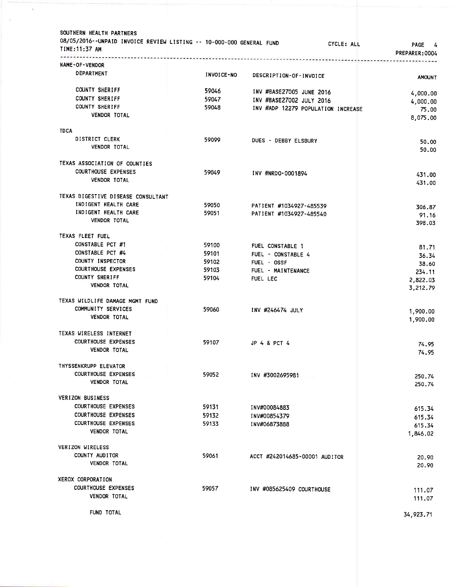| NAME-OF-VENDOR<br>DEPARTMENT<br>INVOICE-NO<br>DESCRIPTION-OF-INVOICE<br><b>AMOUNT</b><br>COUNTY SHERIFF<br>59046<br>INV #BASE27005 JUNE 2016<br>4,000.00<br>COUNTY SHERIFF<br>59047<br>INV #BASE27002 JULY 2016<br>4,000.00<br>COUNTY SHERIFF<br>59048<br>INV #ADP 12279 POPULATION INCREASE<br>75.00<br><b>VENDOR TOTAL</b><br>8,075.00<br><b>TDCA</b><br>DISTRICT CLERK<br>59099<br>DUES - DEBBY ELSBURY<br>50.00<br>VENDOR TOTAL<br>50.00<br>TEXAS ASSOCIATION OF COUNTIES<br><b>COURTHOUSE EXPENSES</b><br>59049<br>INV #NRDO-0001894<br>431.00<br><b>VENDOR TOTAL</b><br>431.00<br>TEXAS DIGESTIVE DISEASE CONSULTANT<br>INDIGENT HEALTH CARE<br>59050<br>PATIENT #1034927-485539<br>306.87<br>INDIGENT HEALTH CARE<br>59051<br>PATIENT #1034927-485540<br>91.16<br>VENDOR TOTAL<br>398.03<br>TEXAS FLEET FUEL<br>CONSTABLE PCT #1<br>59100<br>FUEL CONSTABLE 1<br>81.71<br>CONSTABLE PCT #4<br>59101<br>FUEL - CONSTABLE 4<br>36.34<br>COUNTY INSPECTOR<br>59102<br>FUEL - OSSF<br>38.60<br><b>COURTHOUSE EXPENSES</b><br>59103<br>FUEL - MAINTENANCE<br>234.11<br><b>COUNTY SHERIFF</b><br>59104<br>FUEL LEC<br>2,822.03<br><b>VENDOR TOTAL</b><br>3,212.79<br>TEXAS WILDLIFE DAMAGE MGMT FUND<br>COMMUNITY SERVICES<br>59060<br>INV #246474 JULY<br>1,900.00<br><b>VENDOR TOTAL</b><br>1,900.00<br>TEXAS WIRELESS INTERNET<br><b>COURTHOUSE EXPENSES</b><br>59107<br>JP 4 & PCT 4<br>74.95<br><b>VENDOR TOTAL</b><br>74.95<br>THYSSENKRUPP ELEVATOR<br><b>COURTHOUSE EXPENSES</b><br>59052<br>INV #3002695981<br>250.74<br><b>VENDOR TOTAL</b><br>250.74<br><b>VERIZON BUSINESS</b><br><b>COURTHOUSE EXPENSES</b><br>59131<br>INV#00084883<br>615.34<br><b>COURTHOUSE EXPENSES</b><br>59132<br>INV#00854379<br>615.34<br><b>COURTHOUSE EXPENSES</b><br>59133<br>INV#06873888<br>615.34<br><b>VENDOR TOTAL</b><br>1,846.02<br>VERIZON WIRELESS<br>COUNTY AUDITOR<br>59061<br>ACCT #242014685-00001 AUDITOR<br>20.90<br><b>VENDOR TOTAL</b><br>20.90<br>XEROX CORPORATION<br><b>COURTHOUSE EXPENSES</b><br>59057<br>INV #085625409 COURTHOUSE<br>111.07<br>VENDOR TOTAL<br>111.07<br>FUND TOTAL<br>34,923.71 | SOUTHERN HEALTH PARTNERS<br>08/05/2016--UNPAID INVOICE REVIEW LISTING -- 10-000-000 GENERAL FUND<br>TIME:11:37 AM | CYCLE: ALL | <b>PAGE</b><br>4<br>PREPARER:0004 |
|--------------------------------------------------------------------------------------------------------------------------------------------------------------------------------------------------------------------------------------------------------------------------------------------------------------------------------------------------------------------------------------------------------------------------------------------------------------------------------------------------------------------------------------------------------------------------------------------------------------------------------------------------------------------------------------------------------------------------------------------------------------------------------------------------------------------------------------------------------------------------------------------------------------------------------------------------------------------------------------------------------------------------------------------------------------------------------------------------------------------------------------------------------------------------------------------------------------------------------------------------------------------------------------------------------------------------------------------------------------------------------------------------------------------------------------------------------------------------------------------------------------------------------------------------------------------------------------------------------------------------------------------------------------------------------------------------------------------------------------------------------------------------------------------------------------------------------------------------------------------------------------------------------------------------------------------------------------------------------------------------------------------------------------------------------------------------------------------------------------------|-------------------------------------------------------------------------------------------------------------------|------------|-----------------------------------|
|                                                                                                                                                                                                                                                                                                                                                                                                                                                                                                                                                                                                                                                                                                                                                                                                                                                                                                                                                                                                                                                                                                                                                                                                                                                                                                                                                                                                                                                                                                                                                                                                                                                                                                                                                                                                                                                                                                                                                                                                                                                                                                                    |                                                                                                                   |            |                                   |
|                                                                                                                                                                                                                                                                                                                                                                                                                                                                                                                                                                                                                                                                                                                                                                                                                                                                                                                                                                                                                                                                                                                                                                                                                                                                                                                                                                                                                                                                                                                                                                                                                                                                                                                                                                                                                                                                                                                                                                                                                                                                                                                    |                                                                                                                   |            |                                   |
|                                                                                                                                                                                                                                                                                                                                                                                                                                                                                                                                                                                                                                                                                                                                                                                                                                                                                                                                                                                                                                                                                                                                                                                                                                                                                                                                                                                                                                                                                                                                                                                                                                                                                                                                                                                                                                                                                                                                                                                                                                                                                                                    |                                                                                                                   |            |                                   |
|                                                                                                                                                                                                                                                                                                                                                                                                                                                                                                                                                                                                                                                                                                                                                                                                                                                                                                                                                                                                                                                                                                                                                                                                                                                                                                                                                                                                                                                                                                                                                                                                                                                                                                                                                                                                                                                                                                                                                                                                                                                                                                                    |                                                                                                                   |            |                                   |
|                                                                                                                                                                                                                                                                                                                                                                                                                                                                                                                                                                                                                                                                                                                                                                                                                                                                                                                                                                                                                                                                                                                                                                                                                                                                                                                                                                                                                                                                                                                                                                                                                                                                                                                                                                                                                                                                                                                                                                                                                                                                                                                    |                                                                                                                   |            |                                   |
|                                                                                                                                                                                                                                                                                                                                                                                                                                                                                                                                                                                                                                                                                                                                                                                                                                                                                                                                                                                                                                                                                                                                                                                                                                                                                                                                                                                                                                                                                                                                                                                                                                                                                                                                                                                                                                                                                                                                                                                                                                                                                                                    |                                                                                                                   |            |                                   |
|                                                                                                                                                                                                                                                                                                                                                                                                                                                                                                                                                                                                                                                                                                                                                                                                                                                                                                                                                                                                                                                                                                                                                                                                                                                                                                                                                                                                                                                                                                                                                                                                                                                                                                                                                                                                                                                                                                                                                                                                                                                                                                                    |                                                                                                                   |            |                                   |
|                                                                                                                                                                                                                                                                                                                                                                                                                                                                                                                                                                                                                                                                                                                                                                                                                                                                                                                                                                                                                                                                                                                                                                                                                                                                                                                                                                                                                                                                                                                                                                                                                                                                                                                                                                                                                                                                                                                                                                                                                                                                                                                    |                                                                                                                   |            |                                   |
|                                                                                                                                                                                                                                                                                                                                                                                                                                                                                                                                                                                                                                                                                                                                                                                                                                                                                                                                                                                                                                                                                                                                                                                                                                                                                                                                                                                                                                                                                                                                                                                                                                                                                                                                                                                                                                                                                                                                                                                                                                                                                                                    |                                                                                                                   |            |                                   |
|                                                                                                                                                                                                                                                                                                                                                                                                                                                                                                                                                                                                                                                                                                                                                                                                                                                                                                                                                                                                                                                                                                                                                                                                                                                                                                                                                                                                                                                                                                                                                                                                                                                                                                                                                                                                                                                                                                                                                                                                                                                                                                                    |                                                                                                                   |            |                                   |
|                                                                                                                                                                                                                                                                                                                                                                                                                                                                                                                                                                                                                                                                                                                                                                                                                                                                                                                                                                                                                                                                                                                                                                                                                                                                                                                                                                                                                                                                                                                                                                                                                                                                                                                                                                                                                                                                                                                                                                                                                                                                                                                    |                                                                                                                   |            |                                   |
|                                                                                                                                                                                                                                                                                                                                                                                                                                                                                                                                                                                                                                                                                                                                                                                                                                                                                                                                                                                                                                                                                                                                                                                                                                                                                                                                                                                                                                                                                                                                                                                                                                                                                                                                                                                                                                                                                                                                                                                                                                                                                                                    |                                                                                                                   |            |                                   |
|                                                                                                                                                                                                                                                                                                                                                                                                                                                                                                                                                                                                                                                                                                                                                                                                                                                                                                                                                                                                                                                                                                                                                                                                                                                                                                                                                                                                                                                                                                                                                                                                                                                                                                                                                                                                                                                                                                                                                                                                                                                                                                                    |                                                                                                                   |            |                                   |
|                                                                                                                                                                                                                                                                                                                                                                                                                                                                                                                                                                                                                                                                                                                                                                                                                                                                                                                                                                                                                                                                                                                                                                                                                                                                                                                                                                                                                                                                                                                                                                                                                                                                                                                                                                                                                                                                                                                                                                                                                                                                                                                    |                                                                                                                   |            |                                   |
|                                                                                                                                                                                                                                                                                                                                                                                                                                                                                                                                                                                                                                                                                                                                                                                                                                                                                                                                                                                                                                                                                                                                                                                                                                                                                                                                                                                                                                                                                                                                                                                                                                                                                                                                                                                                                                                                                                                                                                                                                                                                                                                    |                                                                                                                   |            |                                   |
|                                                                                                                                                                                                                                                                                                                                                                                                                                                                                                                                                                                                                                                                                                                                                                                                                                                                                                                                                                                                                                                                                                                                                                                                                                                                                                                                                                                                                                                                                                                                                                                                                                                                                                                                                                                                                                                                                                                                                                                                                                                                                                                    |                                                                                                                   |            |                                   |
|                                                                                                                                                                                                                                                                                                                                                                                                                                                                                                                                                                                                                                                                                                                                                                                                                                                                                                                                                                                                                                                                                                                                                                                                                                                                                                                                                                                                                                                                                                                                                                                                                                                                                                                                                                                                                                                                                                                                                                                                                                                                                                                    |                                                                                                                   |            |                                   |
|                                                                                                                                                                                                                                                                                                                                                                                                                                                                                                                                                                                                                                                                                                                                                                                                                                                                                                                                                                                                                                                                                                                                                                                                                                                                                                                                                                                                                                                                                                                                                                                                                                                                                                                                                                                                                                                                                                                                                                                                                                                                                                                    |                                                                                                                   |            |                                   |
|                                                                                                                                                                                                                                                                                                                                                                                                                                                                                                                                                                                                                                                                                                                                                                                                                                                                                                                                                                                                                                                                                                                                                                                                                                                                                                                                                                                                                                                                                                                                                                                                                                                                                                                                                                                                                                                                                                                                                                                                                                                                                                                    |                                                                                                                   |            |                                   |
|                                                                                                                                                                                                                                                                                                                                                                                                                                                                                                                                                                                                                                                                                                                                                                                                                                                                                                                                                                                                                                                                                                                                                                                                                                                                                                                                                                                                                                                                                                                                                                                                                                                                                                                                                                                                                                                                                                                                                                                                                                                                                                                    |                                                                                                                   |            |                                   |
|                                                                                                                                                                                                                                                                                                                                                                                                                                                                                                                                                                                                                                                                                                                                                                                                                                                                                                                                                                                                                                                                                                                                                                                                                                                                                                                                                                                                                                                                                                                                                                                                                                                                                                                                                                                                                                                                                                                                                                                                                                                                                                                    |                                                                                                                   |            |                                   |
|                                                                                                                                                                                                                                                                                                                                                                                                                                                                                                                                                                                                                                                                                                                                                                                                                                                                                                                                                                                                                                                                                                                                                                                                                                                                                                                                                                                                                                                                                                                                                                                                                                                                                                                                                                                                                                                                                                                                                                                                                                                                                                                    |                                                                                                                   |            |                                   |
|                                                                                                                                                                                                                                                                                                                                                                                                                                                                                                                                                                                                                                                                                                                                                                                                                                                                                                                                                                                                                                                                                                                                                                                                                                                                                                                                                                                                                                                                                                                                                                                                                                                                                                                                                                                                                                                                                                                                                                                                                                                                                                                    |                                                                                                                   |            |                                   |
|                                                                                                                                                                                                                                                                                                                                                                                                                                                                                                                                                                                                                                                                                                                                                                                                                                                                                                                                                                                                                                                                                                                                                                                                                                                                                                                                                                                                                                                                                                                                                                                                                                                                                                                                                                                                                                                                                                                                                                                                                                                                                                                    |                                                                                                                   |            |                                   |
|                                                                                                                                                                                                                                                                                                                                                                                                                                                                                                                                                                                                                                                                                                                                                                                                                                                                                                                                                                                                                                                                                                                                                                                                                                                                                                                                                                                                                                                                                                                                                                                                                                                                                                                                                                                                                                                                                                                                                                                                                                                                                                                    |                                                                                                                   |            |                                   |
|                                                                                                                                                                                                                                                                                                                                                                                                                                                                                                                                                                                                                                                                                                                                                                                                                                                                                                                                                                                                                                                                                                                                                                                                                                                                                                                                                                                                                                                                                                                                                                                                                                                                                                                                                                                                                                                                                                                                                                                                                                                                                                                    |                                                                                                                   |            |                                   |
|                                                                                                                                                                                                                                                                                                                                                                                                                                                                                                                                                                                                                                                                                                                                                                                                                                                                                                                                                                                                                                                                                                                                                                                                                                                                                                                                                                                                                                                                                                                                                                                                                                                                                                                                                                                                                                                                                                                                                                                                                                                                                                                    |                                                                                                                   |            |                                   |
|                                                                                                                                                                                                                                                                                                                                                                                                                                                                                                                                                                                                                                                                                                                                                                                                                                                                                                                                                                                                                                                                                                                                                                                                                                                                                                                                                                                                                                                                                                                                                                                                                                                                                                                                                                                                                                                                                                                                                                                                                                                                                                                    |                                                                                                                   |            |                                   |
|                                                                                                                                                                                                                                                                                                                                                                                                                                                                                                                                                                                                                                                                                                                                                                                                                                                                                                                                                                                                                                                                                                                                                                                                                                                                                                                                                                                                                                                                                                                                                                                                                                                                                                                                                                                                                                                                                                                                                                                                                                                                                                                    |                                                                                                                   |            |                                   |
|                                                                                                                                                                                                                                                                                                                                                                                                                                                                                                                                                                                                                                                                                                                                                                                                                                                                                                                                                                                                                                                                                                                                                                                                                                                                                                                                                                                                                                                                                                                                                                                                                                                                                                                                                                                                                                                                                                                                                                                                                                                                                                                    |                                                                                                                   |            |                                   |
|                                                                                                                                                                                                                                                                                                                                                                                                                                                                                                                                                                                                                                                                                                                                                                                                                                                                                                                                                                                                                                                                                                                                                                                                                                                                                                                                                                                                                                                                                                                                                                                                                                                                                                                                                                                                                                                                                                                                                                                                                                                                                                                    |                                                                                                                   |            |                                   |
|                                                                                                                                                                                                                                                                                                                                                                                                                                                                                                                                                                                                                                                                                                                                                                                                                                                                                                                                                                                                                                                                                                                                                                                                                                                                                                                                                                                                                                                                                                                                                                                                                                                                                                                                                                                                                                                                                                                                                                                                                                                                                                                    |                                                                                                                   |            |                                   |
|                                                                                                                                                                                                                                                                                                                                                                                                                                                                                                                                                                                                                                                                                                                                                                                                                                                                                                                                                                                                                                                                                                                                                                                                                                                                                                                                                                                                                                                                                                                                                                                                                                                                                                                                                                                                                                                                                                                                                                                                                                                                                                                    |                                                                                                                   |            |                                   |
|                                                                                                                                                                                                                                                                                                                                                                                                                                                                                                                                                                                                                                                                                                                                                                                                                                                                                                                                                                                                                                                                                                                                                                                                                                                                                                                                                                                                                                                                                                                                                                                                                                                                                                                                                                                                                                                                                                                                                                                                                                                                                                                    |                                                                                                                   |            |                                   |
|                                                                                                                                                                                                                                                                                                                                                                                                                                                                                                                                                                                                                                                                                                                                                                                                                                                                                                                                                                                                                                                                                                                                                                                                                                                                                                                                                                                                                                                                                                                                                                                                                                                                                                                                                                                                                                                                                                                                                                                                                                                                                                                    |                                                                                                                   |            |                                   |
|                                                                                                                                                                                                                                                                                                                                                                                                                                                                                                                                                                                                                                                                                                                                                                                                                                                                                                                                                                                                                                                                                                                                                                                                                                                                                                                                                                                                                                                                                                                                                                                                                                                                                                                                                                                                                                                                                                                                                                                                                                                                                                                    |                                                                                                                   |            |                                   |
|                                                                                                                                                                                                                                                                                                                                                                                                                                                                                                                                                                                                                                                                                                                                                                                                                                                                                                                                                                                                                                                                                                                                                                                                                                                                                                                                                                                                                                                                                                                                                                                                                                                                                                                                                                                                                                                                                                                                                                                                                                                                                                                    |                                                                                                                   |            |                                   |
|                                                                                                                                                                                                                                                                                                                                                                                                                                                                                                                                                                                                                                                                                                                                                                                                                                                                                                                                                                                                                                                                                                                                                                                                                                                                                                                                                                                                                                                                                                                                                                                                                                                                                                                                                                                                                                                                                                                                                                                                                                                                                                                    |                                                                                                                   |            |                                   |
|                                                                                                                                                                                                                                                                                                                                                                                                                                                                                                                                                                                                                                                                                                                                                                                                                                                                                                                                                                                                                                                                                                                                                                                                                                                                                                                                                                                                                                                                                                                                                                                                                                                                                                                                                                                                                                                                                                                                                                                                                                                                                                                    |                                                                                                                   |            |                                   |
|                                                                                                                                                                                                                                                                                                                                                                                                                                                                                                                                                                                                                                                                                                                                                                                                                                                                                                                                                                                                                                                                                                                                                                                                                                                                                                                                                                                                                                                                                                                                                                                                                                                                                                                                                                                                                                                                                                                                                                                                                                                                                                                    |                                                                                                                   |            |                                   |
|                                                                                                                                                                                                                                                                                                                                                                                                                                                                                                                                                                                                                                                                                                                                                                                                                                                                                                                                                                                                                                                                                                                                                                                                                                                                                                                                                                                                                                                                                                                                                                                                                                                                                                                                                                                                                                                                                                                                                                                                                                                                                                                    |                                                                                                                   |            |                                   |
|                                                                                                                                                                                                                                                                                                                                                                                                                                                                                                                                                                                                                                                                                                                                                                                                                                                                                                                                                                                                                                                                                                                                                                                                                                                                                                                                                                                                                                                                                                                                                                                                                                                                                                                                                                                                                                                                                                                                                                                                                                                                                                                    |                                                                                                                   |            |                                   |
|                                                                                                                                                                                                                                                                                                                                                                                                                                                                                                                                                                                                                                                                                                                                                                                                                                                                                                                                                                                                                                                                                                                                                                                                                                                                                                                                                                                                                                                                                                                                                                                                                                                                                                                                                                                                                                                                                                                                                                                                                                                                                                                    |                                                                                                                   |            |                                   |
|                                                                                                                                                                                                                                                                                                                                                                                                                                                                                                                                                                                                                                                                                                                                                                                                                                                                                                                                                                                                                                                                                                                                                                                                                                                                                                                                                                                                                                                                                                                                                                                                                                                                                                                                                                                                                                                                                                                                                                                                                                                                                                                    |                                                                                                                   |            |                                   |
|                                                                                                                                                                                                                                                                                                                                                                                                                                                                                                                                                                                                                                                                                                                                                                                                                                                                                                                                                                                                                                                                                                                                                                                                                                                                                                                                                                                                                                                                                                                                                                                                                                                                                                                                                                                                                                                                                                                                                                                                                                                                                                                    |                                                                                                                   |            |                                   |
|                                                                                                                                                                                                                                                                                                                                                                                                                                                                                                                                                                                                                                                                                                                                                                                                                                                                                                                                                                                                                                                                                                                                                                                                                                                                                                                                                                                                                                                                                                                                                                                                                                                                                                                                                                                                                                                                                                                                                                                                                                                                                                                    |                                                                                                                   |            |                                   |
|                                                                                                                                                                                                                                                                                                                                                                                                                                                                                                                                                                                                                                                                                                                                                                                                                                                                                                                                                                                                                                                                                                                                                                                                                                                                                                                                                                                                                                                                                                                                                                                                                                                                                                                                                                                                                                                                                                                                                                                                                                                                                                                    |                                                                                                                   |            |                                   |
|                                                                                                                                                                                                                                                                                                                                                                                                                                                                                                                                                                                                                                                                                                                                                                                                                                                                                                                                                                                                                                                                                                                                                                                                                                                                                                                                                                                                                                                                                                                                                                                                                                                                                                                                                                                                                                                                                                                                                                                                                                                                                                                    |                                                                                                                   |            |                                   |
|                                                                                                                                                                                                                                                                                                                                                                                                                                                                                                                                                                                                                                                                                                                                                                                                                                                                                                                                                                                                                                                                                                                                                                                                                                                                                                                                                                                                                                                                                                                                                                                                                                                                                                                                                                                                                                                                                                                                                                                                                                                                                                                    |                                                                                                                   |            |                                   |
|                                                                                                                                                                                                                                                                                                                                                                                                                                                                                                                                                                                                                                                                                                                                                                                                                                                                                                                                                                                                                                                                                                                                                                                                                                                                                                                                                                                                                                                                                                                                                                                                                                                                                                                                                                                                                                                                                                                                                                                                                                                                                                                    |                                                                                                                   |            |                                   |
|                                                                                                                                                                                                                                                                                                                                                                                                                                                                                                                                                                                                                                                                                                                                                                                                                                                                                                                                                                                                                                                                                                                                                                                                                                                                                                                                                                                                                                                                                                                                                                                                                                                                                                                                                                                                                                                                                                                                                                                                                                                                                                                    |                                                                                                                   |            |                                   |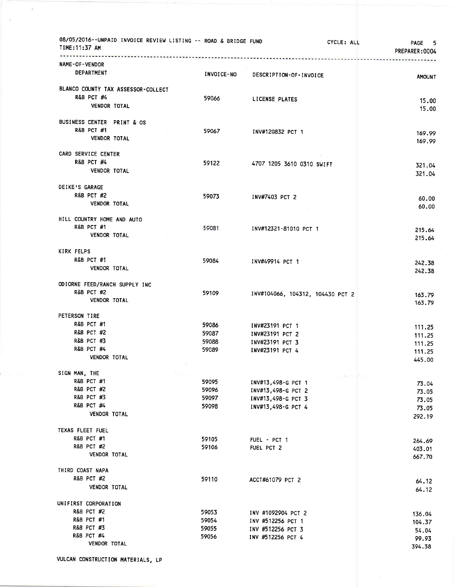| 08/05/2016--UNPAID INVOICE REVIEW LISTING -- ROAD & BRIDGE FUND<br>TIME: 11:37 AM |                   | CYCLE: ALL                         | PAGE 5<br>PREPARER:0004 |
|-----------------------------------------------------------------------------------|-------------------|------------------------------------|-------------------------|
| NAME-OF-VENDOR                                                                    |                   |                                    |                         |
| DEPARTMENT                                                                        | <b>INVOICE-NO</b> | DESCRIPTION-OF-INVOICE             | <b>AMOUNT</b>           |
| BLANCO COUNTY TAX ASSESSOR-COLLECT                                                |                   |                                    |                         |
| R&B PCT #4                                                                        | 59066             | LICENSE PLATES                     | 15.00                   |
| <b>VENDOR TOTAL</b>                                                               |                   |                                    | 15.00                   |
| BUSINESS CENTER PRINT & OS                                                        |                   |                                    |                         |
| <b>R&amp;B PCT #1</b>                                                             | 59067             | INV#120832 PCT 1                   | 169.99                  |
| <b>VENDOR TOTAL</b>                                                               |                   |                                    | 169.99                  |
| CARD SERVICE CENTER                                                               |                   |                                    |                         |
| <b>R&amp;B PCT #4</b>                                                             | 59122             | 4707 1205 3610 0310 SWIFT          | 321.04                  |
| <b>VENDOR TOTAL</b>                                                               |                   |                                    | 321.04                  |
| DEIKE'S GARAGE                                                                    |                   |                                    |                         |
| <b>R&amp;B PCT #2</b>                                                             | 59073             | INV#7403 PCT 2                     | 60.00                   |
| VENDOR TOTAL                                                                      |                   |                                    | 60.00                   |
| HILL COUNTRY HOME AND AUTO                                                        |                   |                                    |                         |
| R&B PCT #1<br>VENDOR TOTAL                                                        | 59081             | INV#12321-81010 PCT 1              | 215.64                  |
|                                                                                   |                   |                                    | 215.64                  |
| KIRK FELPS                                                                        |                   |                                    |                         |
| <b>R&amp;B PCT #1</b>                                                             | 59084             | INV#49914 PCT 1                    | 242.38                  |
| VENDOR TOTAL                                                                      |                   |                                    | 242.38                  |
| ODIORNE FEED/RANCH SUPPLY INC                                                     |                   |                                    |                         |
| <b>R&amp;B PCT #2</b><br><b>VENDOR TOTAL</b>                                      | 59109             | INV#104066, 104312, 104430 PCT 2   | 163.79                  |
|                                                                                   |                   |                                    | 163.79                  |
| PETERSON TIRE                                                                     |                   |                                    |                         |
| R&B PCT #1                                                                        | 59086             | INV#23191 PCT 1                    | 111.25                  |
| <b>R&amp;B PCT #2</b><br><b>R&amp;B PCT #3</b>                                    | 59087<br>59088    | INV#23191 PCT 2                    | 111.25                  |
| <b>R&amp;B PCT #4</b>                                                             | 59089             | INV#23191 PCT 3<br>INV#23191 PCT 4 | 111.25                  |
| VENDOR TOTAL                                                                      |                   |                                    | 111.25<br>445.00        |
| SIGN MAN, THE                                                                     |                   |                                    |                         |
| <b>R&amp;B PCT #1</b>                                                             | 59095             | INV#13,498-G PCT 1                 | 73.04                   |
| <b>R&amp;B PCT #2</b>                                                             | 59096             | INV#13,498-G PCT 2                 | 73.05                   |
| <b>R&amp;B PCT #3</b>                                                             | 59097             | INV#13,498-G PCT 3                 | 73.05                   |
| <b>R&amp;B PCT #4</b>                                                             | 59098             | INV#13,498-G PCT 4                 | 73.05                   |
| <b>VENDOR TOTAL</b>                                                               |                   |                                    | 292.19                  |
| TEXAS FLEET FUEL                                                                  |                   |                                    |                         |
| R&B PCT #1                                                                        | 59105             | FUEL - PCT 1                       | 264.69                  |
| <b>R&amp;B PCT #2</b><br><b>VENDOR TOTAL</b>                                      | 59106             | FUEL PCT 2                         | 403.01<br>667.70        |
|                                                                                   |                   |                                    |                         |
| THIRD COAST NAPA<br><b>R&amp;B PCT #2</b>                                         | 59110             |                                    |                         |
| <b>VENDOR TOTAL</b>                                                               |                   | ACCT#61079 PCT 2                   | 64.12<br>64.12          |
| UNIFIRST CORPORATION                                                              |                   |                                    |                         |
| <b>R&amp;B PCT #2</b>                                                             | 59053             | INV #1092904 PCT 2                 | 136.04                  |
| R&B PCT #1                                                                        | 59054             | INV #512256 PCT 1                  | 104.37                  |
| <b>R&amp;B PCT #3</b>                                                             | 59055             | INV #512256 PCT 3                  | 54.04                   |
| <b>R&amp;B PCT #4</b>                                                             | 59056             | INV #512256 PCT 4                  | 99.93                   |
| VENDOR TOTAL                                                                      |                   |                                    | 394.38                  |

 $\bar{\sigma}$ 

×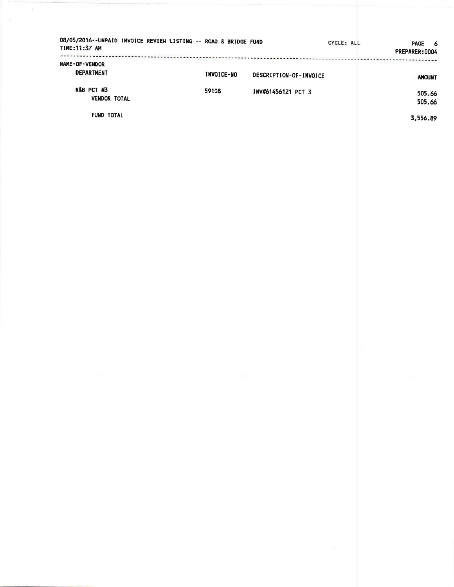| 08/05/2016--UNPAID INVOICE REVIEW LISTING -- ROAD & BRIDGE FUND<br>TIME: 11:37 AM |            |                        | CYCLE: ALL | <b>PAGE</b><br>- 6<br>PREPARER: 0004 |
|-----------------------------------------------------------------------------------|------------|------------------------|------------|--------------------------------------|
| <b>NAME-OF-VENDOR</b><br><b>DEPARTMENT</b>                                        | INVOICE-NO | DESCRIPTION-OF-INVOICE |            | <b>AMOUNT</b>                        |
| <b>R&amp;B PCT #3</b><br><b>VENDOR TOTAL</b>                                      | 59108      | INV#61456121 PCT 3     |            | 505.66<br>505.66                     |

**FUND TOTAL** 

 $\lambda$ 

3,556.89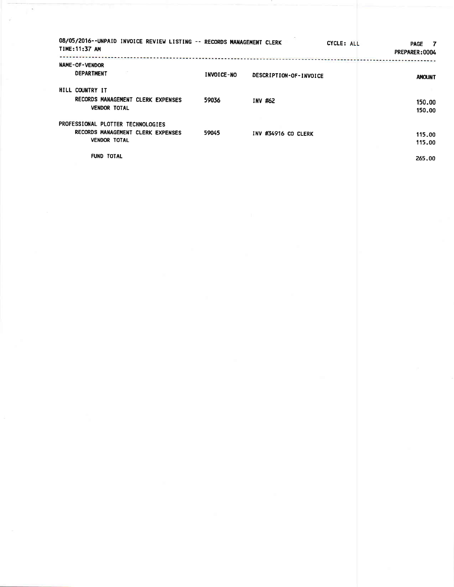| 08/05/2016--UNPAID INVOICE REVIEW LISTING -- RECORDS MANAGEMENT CLERK<br>TIME: 11:37 AM       |            |                        | CYCLE: ALL | <b>PAGE</b><br>$\overline{7}$<br>PREPARER: 0004 |
|-----------------------------------------------------------------------------------------------|------------|------------------------|------------|-------------------------------------------------|
| <b>NAME-OF-VENDOR</b><br><b>DEPARTMENT</b>                                                    | INVOICE-NO | DESCRIPTION-OF-INVOICE |            | <b>AMOUNT</b>                                   |
| HILL COUNTRY IT<br>RECORDS MANAGEMENT CLERK EXPENSES<br><b>VENDOR TOTAL</b>                   | 59036      | INV #62                |            | 150.00<br>150.00                                |
| PROFESSIONAL PLOTTER TECHNOLOGIES<br>RECORDS MANAGEMENT CLERK EXPENSES<br><b>VENDOR TOTAL</b> | 59045      | INV #34916 CO CLERK    |            | 115.00<br>115.00                                |
| <b>FUND TOTAL</b>                                                                             |            |                        |            | 265.00                                          |

Ţ,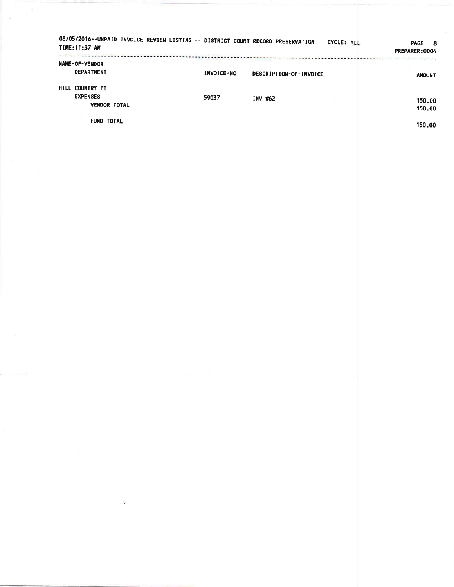| 08/05/2016--UNPAID INVOICE REVIEW LISTING -- DISTRICT COURT RECORD PRESERVATION<br>TIME: 11:37 AM |                   |                        | CYCLE: ALL | <b>PAGE</b><br>- 8<br>PREPARER: 0004 |
|---------------------------------------------------------------------------------------------------|-------------------|------------------------|------------|--------------------------------------|
| NAME-OF-VENDOR<br><b>DEPARTMENT</b>                                                               | <b>INVOICE-NO</b> | DESCRIPTION-OF-INVOICE |            | <b>AMOUNT</b>                        |
| HILL COUNTRY IT<br><b>EXPENSES</b>                                                                | 59037             | INV #62                |            | 150.00                               |
| <b>VENDOR TOTAL</b><br><b>FUND TOTAL</b>                                                          |                   |                        |            | 150.00                               |
|                                                                                                   |                   |                        |            | 150.00                               |
|                                                                                                   |                   |                        |            |                                      |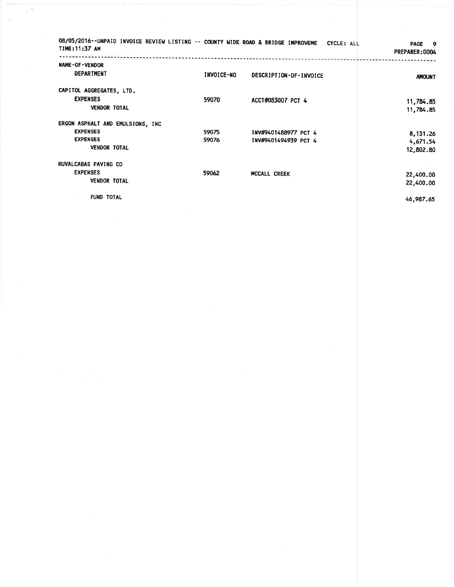| 08/05/2016--UNPAID INVOICE REVIEW LISTING -- COUNTY WIDE ROAD & BRIDGE IMPROVEME CYCLE: ALL<br>TIME: 11:37 AM |                |                                              | <b>PAGE</b><br>- 9<br>PREPARER: 0004 |
|---------------------------------------------------------------------------------------------------------------|----------------|----------------------------------------------|--------------------------------------|
| NAME-OF-VENDOR<br><b>DEPARTMENT</b>                                                                           | INVOICE-NO     | DESCRIPTION-OF-INVOICE                       | <b>AMOUNT</b>                        |
| CAPITOL AGGREGATES, LTD.<br><b>EXPENSES</b><br><b>VENDOR TOTAL</b>                                            | 59070          | ACCT#083007 PCT 4                            | 11,784.85<br>11,784.85               |
| ERGON ASPHALT AND EMULSIONS, INC<br><b>EXPENSES</b><br><b>EXPENSES</b><br><b>VENDOR TOTAL</b>                 | 59075<br>59076 | INV#9401488977 PCT 4<br>INV#9401494939 PCT 4 | 8,131.26<br>4,671.54<br>12,802.80    |
| <b>RUVALCABAS PAVING CO</b><br><b>EXPENSES</b><br><b>VENDOR TOTAL</b>                                         | 59062          | <b>MCCALL CREEK</b>                          | 22,400.00<br>22,400.00               |
| <b>FUND TOTAL</b>                                                                                             |                |                                              | 46,987.65                            |

 $\mathbb{R}^n$ 

 $\hat{\mathbf{s}}$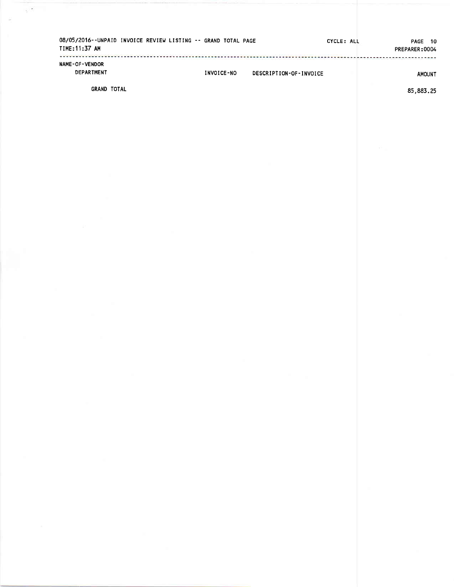| 08/05/2016--UNPAID INVOICE REVIEW LISTING -- GRAND TOTAL PAGE<br>TIME: 11:37 AM |            | CYCLE: ALL             | PAGE<br>- 10<br>PREPARER:0004 |
|---------------------------------------------------------------------------------|------------|------------------------|-------------------------------|
| NAME-OF-VENDOR<br>DEPARTMENT                                                    | INVOICE-NO | DESCRIPTION-OF-INVOICE | <b>AMOUNT</b>                 |

**GRAND TOTAL** 

 $\sim$ 

85,883.25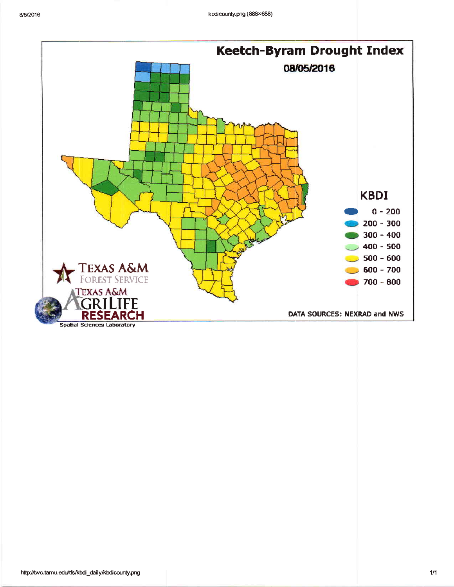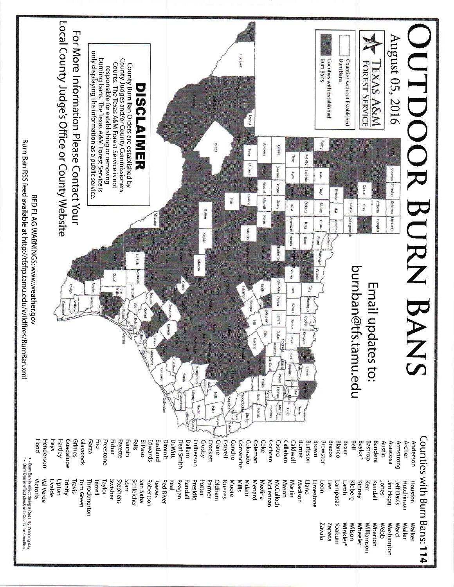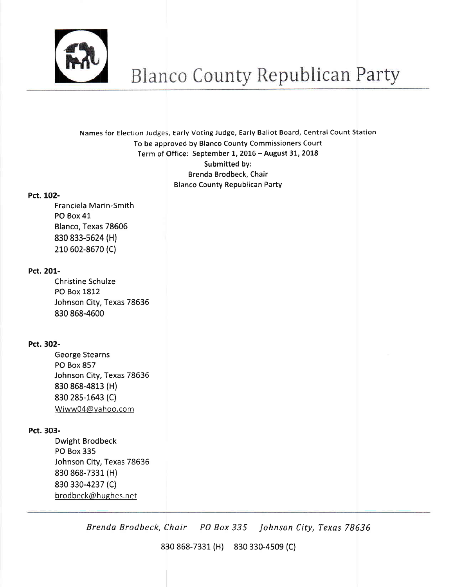

Names for Election Judges, Early Voting Judge, Early Ballot Board, Central Count Station To be approved by Blanco County Commissioners Court Term of Office: September 1, 2016 - August 31, 2018 Submitted by: Brenda Brodbeck, Chair Blanco County Republican Party

## Pct. 102-

Franciela Marin-Smith PO Box 41 Blanco, Texas 78606 830 833-s624 (Hl 210 602-8670 (C)

# Pct. 201-

Christine Schulze PO Box 1812 Johnson City, Texas 78636 830 868-4600

# Pct. 302-

George Stearns PO Box 857 Johnson City, Texas 78636 830 868-4813 (H) 830 28s-1643 (C) Wiww04@vahoo,com

# Pct. 303-

Dwight Brodbeck PO Box 335 Johnson City, Texas 78636 830 868-7331 (H) 830 330-4237 (C) brodbeck@hughes.net

Brenda Brodbeck, Chair PO Box 335 Johnson City, Texas <sup>78636</sup>

830 868-7331 (H) 830 330-4s09 (C)